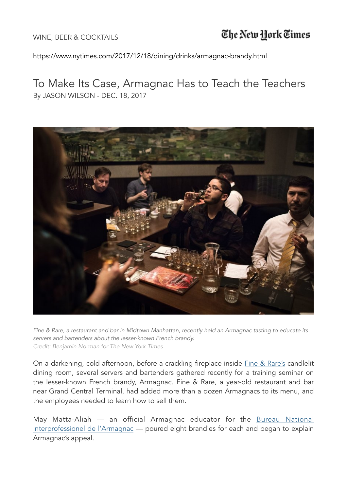[WINE, BEER & COCKTAILS](https://www.nytimes.com/section/food/drinks) 

https://www.nytimes.com/2017/12/18/dining/drinks/armagnac-brandy.html

## To Make Its Case, Armagnac Has to Teach the Teachers By JASON WILSON - DEC. 18, 2017



*Fine & Rare, a restaurant and bar in Midtown Manhattan, recently held an Armagnac tasting to educate its servers and bartenders about the lesser-known French brandy. Credit: Benjamin Norman for The New York Times*

On a darkening, cold afternoon, before a crackling fireplace inside [Fine & Rare's](https://www.fineandrare.nyc/) candlelit dining room, several servers and bartenders gathered recently for a training seminar on the lesser-known French brandy, Armagnac. Fine & Rare, a year-old restaurant and bar near Grand Central Terminal, had added more than a dozen Armagnacs to its menu, and the employees needed to learn how to sell them.

[May Matta-Aliah — an official Armagnac educator for the Bureau National](http://www.armagnac.fr/en)  Interprofessionel de l'Armagnac — poured eight brandies for each and began to explain Armagnac's appeal.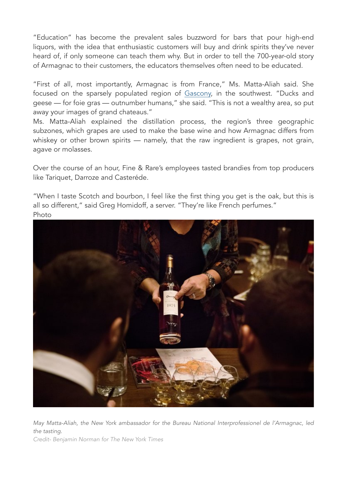"Education" has become the prevalent sales buzzword for bars that pour high-end liquors, with the idea that enthusiastic customers will buy and drink spirits they've never heard of, if only someone can teach them why. But in order to tell the 700-year-old story of Armagnac to their customers, the educators themselves often need to be educated.

"First of all, most importantly, Armagnac is from France," Ms. Matta-Aliah said. She focused on the sparsely populated region of Gascony, in the southwest. "Ducks and geese — for foie gras — outnumber humans," she said. "This is not a wealthy area, so put away your images of grand chateaus."

Ms. Matta-Aliah explained the distillation process, the region's three geographic subzones, which grapes are used to make the base wine and how Armagnac differs from whiskey or other brown spirits — namely, that the raw ingredient is grapes, not grain, agave or molasses.

Over the course of an hour, Fine & Rare's employees tasted brandies from top producers like Tariquet, Darroze and Casteréde.

"When I taste Scotch and bourbon, I feel like the first thing you get is the oak, but this is all so different," said Greg Homidoff, a server. "They're like French perfumes." Photo



*May Matta-Aliah, the New York ambassador for the Bureau National Interprofessionel de l'Armagnac, led the tasting.*

*Credit- Benjamin Norman for The New York Times*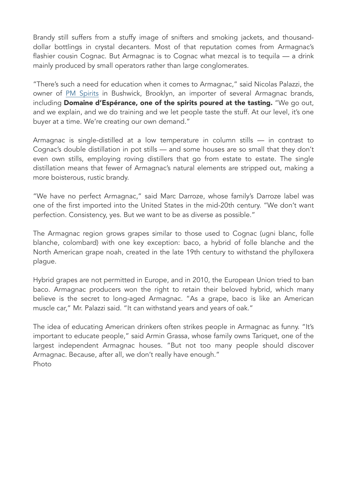Brandy still suffers from a stuffy image of snifters and smoking jackets, and thousanddollar bottlings in crystal decanters. Most of that reputation comes from Armagnac's flashier cousin Cognac. But Armagnac is to Cognac what mezcal is to tequila — a drink mainly produced by small operators rather than large conglomerates.

"There's such a need for education when it comes to Armagnac," said Nicolas Palazzi, the owner of PM Spirits in Bushwick, Brooklyn, an importer of several Armagnac brands, including Domaine d'Espérance, one of the spirits poured at the tasting. "We go out, and we explain, and we do training and we let people taste the stuff. At our level, it's one buyer at a time. We're creating our own demand."

Armagnac is single-distilled at a low temperature in column stills — in contrast to Cognac's double distillation in pot stills — and some houses are so small that they don't even own stills, employing roving distillers that go from estate to estate. The single distillation means that fewer of Armagnac's natural elements are stripped out, making a more boisterous, rustic brandy.

"We have no perfect Armagnac," said Marc Darroze, whose family's Darroze label was one of the first imported into the United States in the mid-20th century. "We don't want perfection. Consistency, yes. But we want to be as diverse as possible."

The Armagnac region grows grapes similar to those used to Cognac (ugni blanc, folle blanche, colombard) with one key exception: baco, a hybrid of folle blanche and the North American grape noah, created in the late 19th century to withstand the phylloxera plague.

Hybrid grapes are not permitted in Europe, and in 2010, the European Union tried to ban baco. Armagnac producers won the right to retain their beloved hybrid, which many believe is the secret to long-aged Armagnac. "As a grape, baco is like an American muscle car," Mr. Palazzi said. "It can withstand years and years of oak."

The idea of educating American drinkers often strikes people in Armagnac as funny. "It's important to educate people," said Armin Grassa, whose family owns Tariquet, one of the largest independent Armagnac houses. "But not too many people should discover Armagnac. Because, after all, we don't really have enough." Photo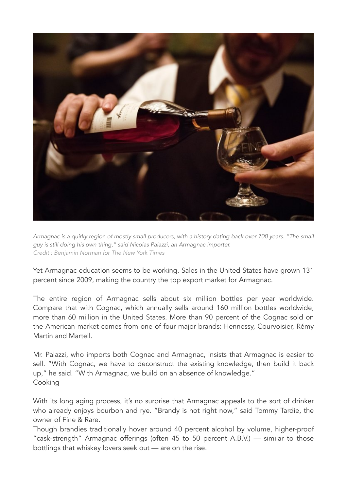

*Armagnac is a quirky region of mostly small producers, with a history dating back over 700 years. "The small guy is still doing his own thing," said Nicolas Palazzi, an Armagnac importer. Credit : Benjamin Norman for The New York Times*

Yet Armagnac education seems to be working. Sales in the United States have grown 131 percent since 2009, making the country the top export market for Armagnac.

The entire region of Armagnac sells about six million bottles per year worldwide. Compare that with Cognac, which annually sells around 160 million bottles worldwide, more than 60 million in the United States. More than 90 percent of the Cognac sold on the American market comes from one of four major brands: Hennessy, Courvoisier, Rémy Martin and Martell.

Mr. Palazzi, who imports both Cognac and Armagnac, insists that Armagnac is easier to sell. "With Cognac, we have to deconstruct the existing knowledge, then build it back up," he said. "With Armagnac, we build on an absence of knowledge." Cooking

With its long aging process, it's no surprise that Armagnac appeals to the sort of drinker who already enjoys bourbon and rye. "Brandy is hot right now," said Tommy Tardie, the owner of Fine & Rare.

Though brandies traditionally hover around 40 percent alcohol by volume, higher-proof "cask-strength" Armagnac offerings (often 45 to 50 percent A.B.V.) — similar to those bottlings that whiskey lovers seek out — are on the rise.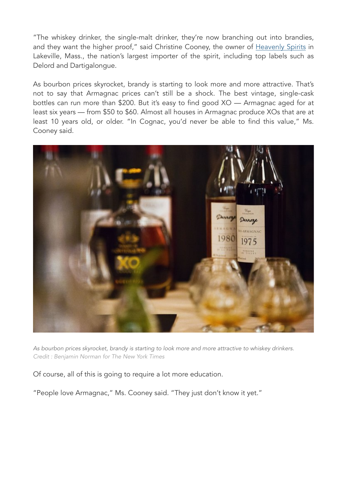"The whiskey drinker, the single-malt drinker, they're now branching out into brandies, and they want the higher proof," said Christine Cooney, the owner of Heavenly Spirits in Lakeville, Mass., the nation's largest importer of the spirit, including top labels such as Delord and Dartigalongue.

As bourbon prices skyrocket, brandy is starting to look more and more attractive. That's not to say that Armagnac prices can't still be a shock. The best vintage, single-cask bottles can run more than \$200. But it's easy to find good XO — Armagnac aged for at least six years — from \$50 to \$60. Almost all houses in Armagnac produce XOs that are at least 10 years old, or older. "In Cognac, you'd never be able to find this value," Ms. Cooney said.



*As bourbon prices skyrocket, brandy is starting to look more and more attractive to whiskey drinkers. Credit : Benjamin Norman for The New York Times*

Of course, all of this is going to require a lot more education.

"People love Armagnac," Ms. Cooney said. "They just don't know it yet."